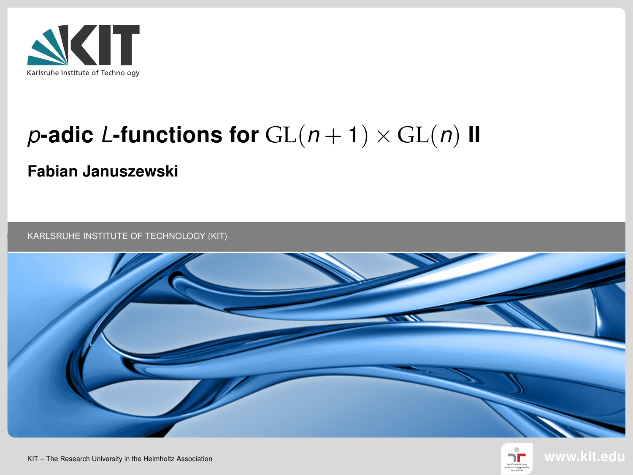<span id="page-0-0"></span>

# p-adic L-functions for  $GL(n+1) \times GL(n)$  II

#### Fabian Januszewski

KARLSRUHE INSTITUTE OF TECHNOLOGY (KIT)





KIT – The Research University in the Helmholtz Association www.kit.edu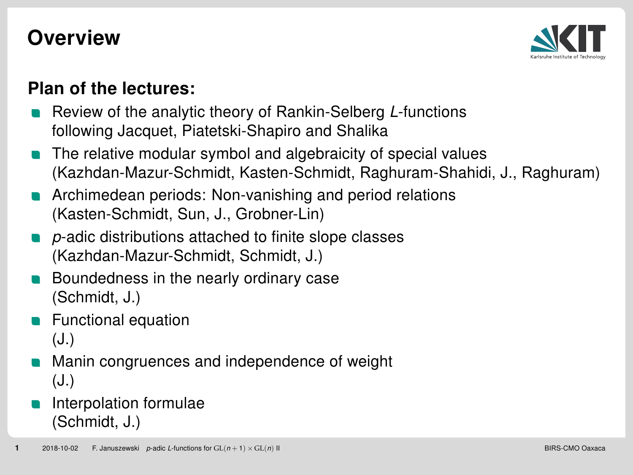#### **Overview**



#### Plan of the lectures:

- Review of the analytic theory of Rankin-Selberg L-functions following Jacquet, Piatetski-Shapiro and Shalika
- The relative modular symbol and algebraicity of special values (Kazhdan-Mazur-Schmidt, Kasten-Schmidt, Raghuram-Shahidi, J., Raghuram)
- Archimedean periods: Non-vanishing and period relations (Kasten-Schmidt, Sun, J., Grobner-Lin)
- p-adic distributions attached to finite slope classes (Kazhdan-Mazur-Schmidt, Schmidt, J.)
- Boundedness in the nearly ordinary case (Schmidt, J.)
- Functional equation (J.)
- Manin congruences and independence of weight (J.)

#### Interpolation formulae (Schmidt, J.)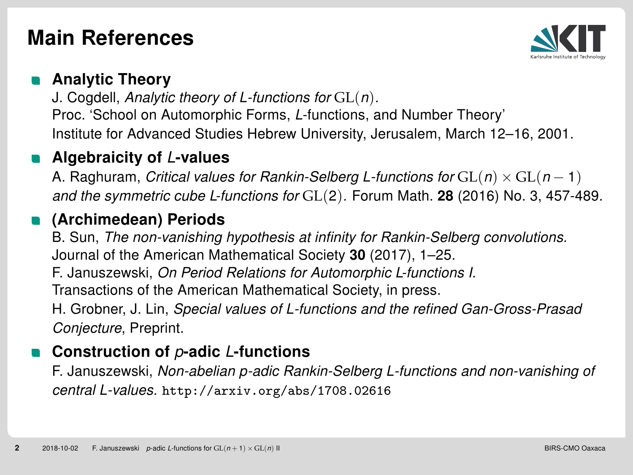## Main References



#### Analytic Theory

J. Cogdell, Analytic theory of L-functions for  $GL(n)$ . Proc. 'School on Automorphic Forms, L-functions, and Number Theory' Institute for Advanced Studies Hebrew University, Jerusalem, March 12–16, 2001.

#### Algebraicity of L-values

A. Raghuram, Critical values for Rankin-Selberg L-functions for  $GL(n) \times GL(n-1)$ and the symmetric cube L-functions for  $GL(2)$ . Forum Math. 28 (2016) No. 3, 457-489.

#### (Archimedean) Periods

B. Sun, The non-vanishing hypothesis at infinity for Rankin-Selberg convolutions. Journal of the American Mathematical Society 30 (2017), 1–25.

F. Januszewski, On Period Relations for Automorphic L-functions I. Transactions of the American Mathematical Society, in press.

H. Grobner, J. Lin, Special values of L-functions and the refined Gan-Gross-Prasad

Conjecture, Preprint.

#### Construction of  $p$ -adic *L*-functions

F. Januszewski, Non-abelian p-adic Rankin-Selberg L-functions and non-vanishing of central L-values. http://arxiv.org/abs/1708.02616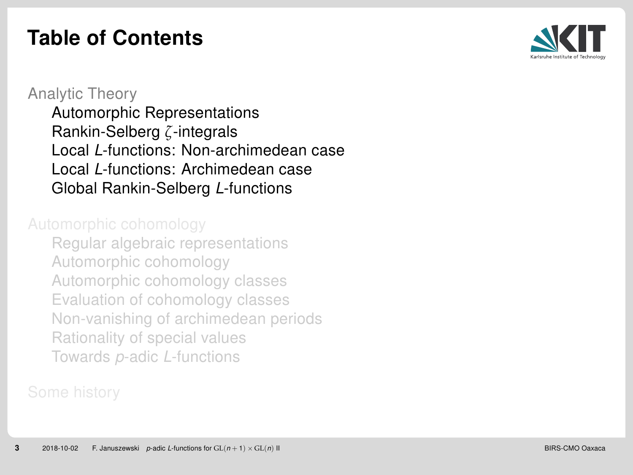## Table of Contents



#### [Analytic Theory](#page-11-0) [Automorphic Representations](#page-12-0) [Rankin-Selberg](#page-21-0) *ζ*-integrals Local L[-functions: Non-archimedean case](#page-0-0) Local L[-functions: Archimedean case](#page-0-0) [Global Rankin-Selberg](#page-0-0) L-functions

[Regular algebraic representations](#page-0-0) [Automorphic cohomology](#page-0-0) [Automorphic cohomology classes](#page-0-0) [Evaluation of cohomology classes](#page-0-0) [Non-vanishing of archimedean periods](#page-0-0) [Rationality of special values](#page-0-0) Towards p-adic L[-functions](#page-0-0)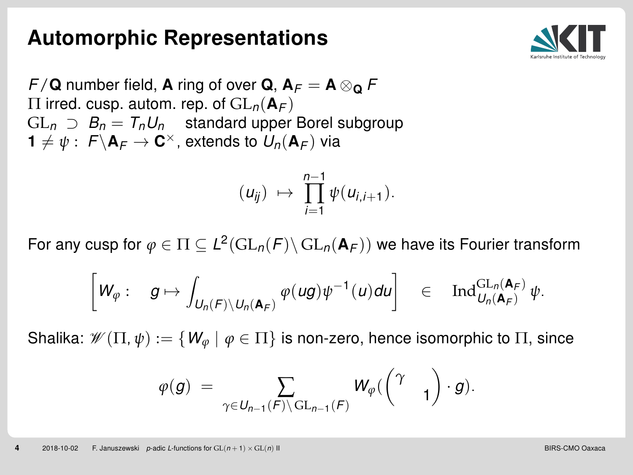#### Automorphic Representations



 $F/\mathbf{Q}$  number field, **A** ring of over **Q**,  $\mathbf{A}_F = \mathbf{A} \otimes_{\mathbf{Q}} F$  $\Pi$  irred. cusp. autom. rep. of  $GL_n({\bf A}_F)$  $GL_n \supset B_n = T_n U_n$  standard upper Borel subgroup  $\mathbf{1} \neq \psi : \; \mathsf{F}\backslash \mathsf{A}_{\mathsf{F}} \to \mathsf{C}^{\times}$ , extends to  $\mathsf{U}_n(\mathsf{A}_{\mathsf{F}})$  via

$$
(u_{ij}) \mapsto \prod_{i=1}^{n-1} \psi(u_{i,i+1}).
$$

For any cusp for  $\varphi\in\Pi\subseteq L^2(\mathrm{GL}_n({F})\backslash\mathrm{GL}_n(\mathbf{A}_F))$  we have its Fourier transform

$$
\left[W_\varphi:\quad g\mapsto \int_{U_n(F)\backslash U_n(\mathbf{A}_F)}\varphi(ug)\psi^{-1}(u)du\right]\quad\in\quad\mathrm{Ind}_{U_n(\mathbf{A}_F)}^{\mathrm{GL}_n(\mathbf{A}_F)}\psi.
$$

Shalika:  $\mathscr{W}(\Pi, \psi) := \{W_{\varphi} \mid \varphi \in \Pi\}$  is non-zero, hence isomorphic to  $\Pi$ , since

$$
\varphi(g) \; = \; \sum_{\gamma \in U_{n-1}(F) \backslash \operatorname{GL}_{n-1}(F)} \, W_{\varphi}(\begin{pmatrix} \gamma & \\ & 1 \end{pmatrix} \cdot g).
$$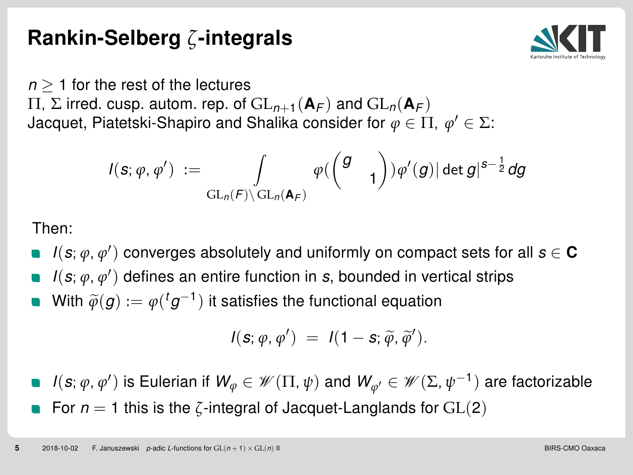## Rankin-Selberg *ζ*-integrals



 $n \geq 1$  for the rest of the lectures

 $\Pi$ , Σ irred. cusp. autom. rep. of  $GL_{n+1}({\bf A}_F)$  and  $GL_n({\bf A}_F)$ Jacquet, Piatetski-Shapiro and Shalika consider for  $\varphi\in \Pi,\ \varphi'\in \Sigma$ :

$$
I(\bm{s};\varphi,\varphi')\;:=\;\int\limits_{\mathrm{GL}_n(\bm{\digamma})\backslash\mathrm{GL}_n(\bm{\mathsf{A}}_{\bm{\digamma}})}\varphi(\begin{pmatrix}g&\\&1\end{pmatrix})\varphi'(g)|\det g|^{s-\frac{1}{2}}dg
$$

Then:

- $I(\bm{s};\varphi,\varphi')$  converges absolutely and uniformly on compact sets for all  $\bm{s}\in\mathbf{C}$
- $I(\bm{s};\varphi,\varphi')$  defines an entire function in  $\bm{s}$ , bounded in vertical strips
- With  $\widetilde{\varphi}(g):=\varphi({}^{t}g^{-1})$  it satisfies the functional equation

$$
I(\mathbf{s};\varphi,\varphi')\;=\;I(1-\mathbf{s};\widetilde{\varphi},\widetilde{\varphi}').
$$

*I*( $s$ ;  $\phi$ ,  $\phi'$ ) is Eulerian if  $W_\phi \in \mathscr{W}(\Pi,\psi)$  and  $W_{\phi'} \in \mathscr{W}(\Sigma,\psi^{-1})$  are factorizable For  $n = 1$  this is the  $\zeta$ -integral of Jacquet-Langlands for  $GL(2)$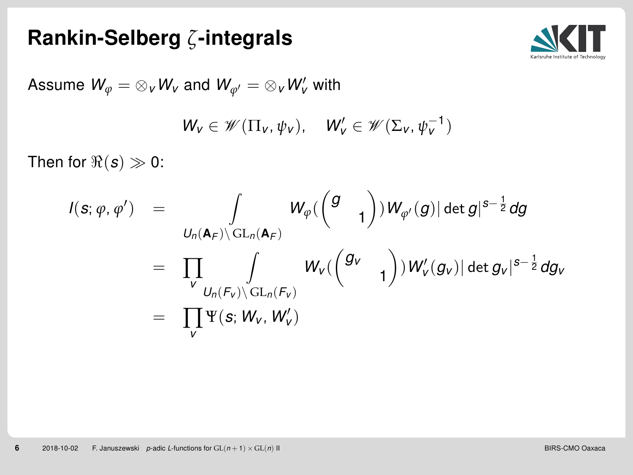## Rankin-Selberg *ζ*-integrals



Assume 
$$
W_{\varphi} = \otimes_{v} W_{v}
$$
 and  $W_{\varphi'} = \otimes_{v} W'_{v}$  with  

$$
W_{v} \in \mathscr{W}(\Pi_{v}, \psi_{v}), \quad W'_{v} \in \mathscr{W}(\Sigma_{v}, \psi_{v}^{-1})
$$

Then for  $\Re(s) \gg 0$ :

$$
I(s; \varphi, \varphi') = \int_{U_n(\mathbf{A}_F) \backslash GL_n(\mathbf{A}_F)} W_{\varphi}(\begin{pmatrix} g \\ & 1 \end{pmatrix}) W_{\varphi'}(g) |\det g|^{s-\frac{1}{2}} dg
$$
  
\n
$$
= \prod_{V} \int_{U_n(F_V) \backslash GL_n(F_V)} W_V(\begin{pmatrix} g_V \\ & 1 \end{pmatrix}) W'_V(g_V) |\det g_V|^{s-\frac{1}{2}} dg_V
$$
  
\n
$$
= \prod_{V} \Psi(s; W_V, W'_V)
$$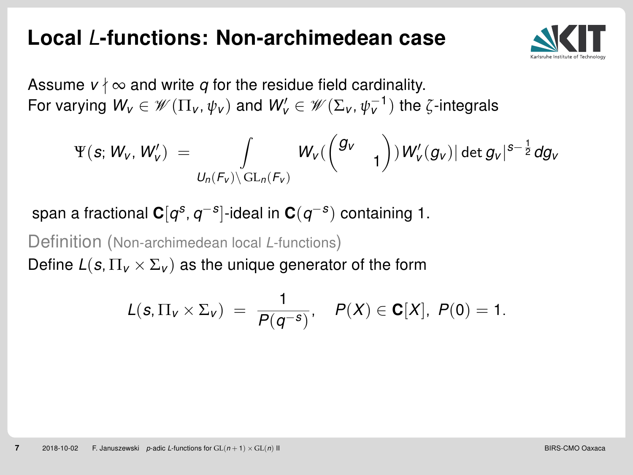#### Local / -functions: Non-archimedean case



Assume  $v \nmid \infty$  and write q for the residue field cardinality. For varying  $W_v \in \mathscr{W}(\Pi_v, \psi_v)$  and  $W_v' \in \mathscr{W}(\Sigma_v, \psi_v^{-1})$  the  $\zeta$ -integrals

$$
\Psi(s;W_{\mathsf{V}},W_{\mathsf{V}}')\;=\;\int\limits_{U_n(\mathcal{F}_{\mathsf{V}})\backslash\operatorname{GL}_n(\mathcal{F}_{\mathsf{V}})}W_{\mathsf{V}}(\begin{pmatrix}g_{\mathsf{V}}&&\\&1\end{pmatrix})\,W'_{\mathsf{V}}(g_{\mathsf{V}})|\det g_{\mathsf{V}}|^{s-\frac{1}{2}}dg_{\mathsf{V}}
$$

span a fractional  ${\bf C}[q^{\scriptscriptstyle {\cal S}},q^{-{\scriptscriptstyle {\cal S}}}]$ -ideal in  ${\bf C}(q^{-{\scriptscriptstyle {\cal S}}})$  containing 1.

Definition (Non-archimedean local L-functions)

Define  $L(s, \Pi_v \times \Sigma_v)$  as the unique generator of the form

$$
L(s, \Pi_{v} \times \Sigma_{v}) = \frac{1}{P(q^{-s})}, \quad P(X) \in \mathbf{C}[X], \ P(0) = 1.
$$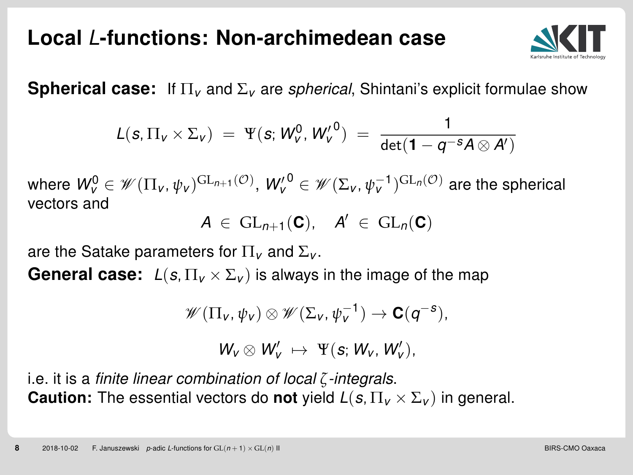## Local / -functions: Non-archimedean case



**Spherical case:** If  $\Pi_{\nu}$  and  $\Sigma_{\nu}$  are *spherical*, Shintani's explicit formulae show

$$
L(s,\Pi_{v}\times\Sigma_{v}) = \Psi(s;W_{v}^{0},W_{v}'^{0}) = \frac{1}{\det(1-q^{-s}A\otimes A')}
$$

where  $W_{V}^{0}\in\mathscr{W}(\Pi_{V},\psi_{V})^{\mathrm{GL}_{n+1}(\mathcal{O})},$   $W_{V}^{\prime\,0}\in\mathscr{W}(\Sigma_{V},\psi_{V}^{-1})^{\mathrm{GL}_{n}(\mathcal{O})}$  are the spherical vectors and

$$
A\ \in\ \mathrm{GL}_{n+1}(\mathbf{C}),\quad A'\ \in\ \mathrm{GL}_n(\mathbf{C})
$$

are the Satake parameters for  $\Pi_{\nu}$  and  $\Sigma_{\nu}$ .

**General case:**  $L(s, \Pi_v \times \Sigma_v)$  is always in the image of the map

$$
\mathscr{W}(\Pi_{v},\psi_{v})\otimes \mathscr{W}(\Sigma_{v},\psi_{v}^{-1})\to \mathbf{C}(q^{-s}),
$$

$$
W_{\nu}\otimes W'_{\nu}\;\mapsto\; \Psi(s;\,W_{\nu},\,W'_{\nu}),
$$

i.e. it is a finite linear combination of local *ζ*-integrals. **Caution:** The essential vectors do **not** yield  $L(s, \Pi_{V} \times \Sigma_{V})$  in general.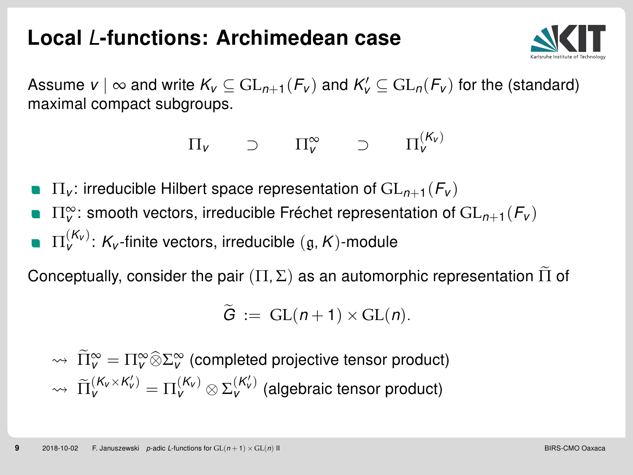#### Local / -functions: Archimedean case



Assume  $v \mid \infty$  and write  $K_v \subseteq \mathrm{GL}_{n+1}(\mathcal{F}_v)$  and  $K_v' \subseteq \mathrm{GL}_n(\mathcal{F}_v)$  for the (standard) maximal compact subgroups.

$$
\Pi_{v} \qquad \supset \qquad \Pi_{v}^{\infty} \qquad \supset \qquad \Pi_{v}^{(K_{v})}
$$

- $\Pi_{V}$ : irreducible Hilbert space representation of  $GL_{n+1}(F_{V})$
- $\Pi_\mathsf{v}^\infty$ : smooth vectors, irreducible Fréchet representation of  $\mathrm{GL}_{n+1}(\mathcal{F}_\mathsf{v})$  $\Pi_{\mathsf{V}}^{(\mathsf{K}_{\mathsf{V}})}$ :  $\mathsf{K}_{\mathsf{V}}$ -finite vectors, irreducible  $(\mathfrak{g},\mathsf{K})$ -module

Conceptually, consider the pair  $(\Pi, \Sigma)$  as an automorphic representation  $\widetilde{\Pi}$  of

$$
\widetilde{G} := GL(n+1) \times GL(n).
$$

 $\widetilde{\Pi}^{\infty}_{V} = \Pi^{\infty}_{V} \widehat{\otimes} \Sigma^{\infty}_{V}$  (completed projective tensor product)  $\psi \rightsquigarrow \widetilde{\Pi}_{V}^{(K_{V}\times K'_{V})} = \Pi_{V}^{(K_{V})}\otimes \Sigma_{V}^{(K'_{V})}$  (algebraic tensor product)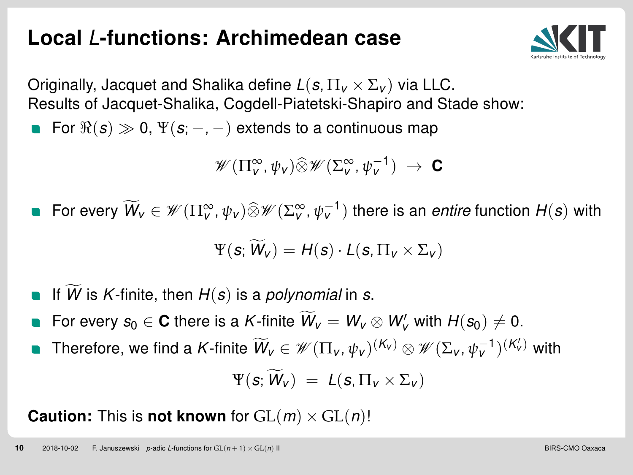## Local / -functions: Archimedean case



Originally, Jacquet and Shalika define  $L(s, \Pi_{v} \times \Sigma_{v})$  via LLC. Results of Jacquet-Shalika, Cogdell-Piatetski-Shapiro and Stade show:

For  $\Re(s) \gg 0$ ,  $\Psi(s; -, -)$  extends to a continuous map

 $\mathscr{W}(\Pi_{\mathsf{v}}^{\infty}, \psi_{\mathsf{v}}) \widehat{\otimes} \mathscr{W}(\Sigma_{\mathsf{v}}^{\infty}, \psi_{\mathsf{v}}^{-1}) \rightarrow \mathbf{C}$ 

For every  $\widetilde{W}_v \in \mathscr{W}(\Pi^\infty_v, \psi_v) \widehat{\otimes} \mathscr{W}(\Sigma^\infty_v, \psi_v^{-1})$  there is an *entire* function  $H(\bm{s})$  with

$$
\Psi(\mathbf{s};\widetilde{W}_V) = H(\mathbf{s}) \cdot L(\mathbf{s}, \Pi_V \times \Sigma_V)
$$

- If W is K-finite, then  $H(s)$  is a polynomial in s.
- For every  $s_0 \in \mathbf{C}$  there is a K-finite  $\widetilde{W}_v = W_v \otimes W'_v$  with  $H(s_0) \neq 0$ .
- Therefore, we find a K-finite  $\widetilde{W}_V \in \mathscr{W}(\Pi_V, \psi_V)^{(\mathcal{K}_V)} \otimes \mathscr{W}(\Sigma_V, \psi_V^{-1})^{(\mathcal{K}_V')}$  with

$$
\Psi(\mathbf{s};\,\widetilde{\mathbf{W}}_{V})\;=\;L(\mathbf{s},\Pi_{V}\times\Sigma_{V})
$$

**Caution:** This is **not known** for  $GL(m) \times GL(n)!$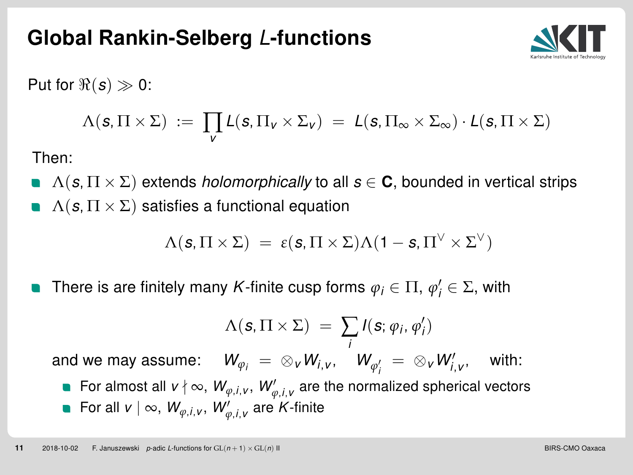#### <span id="page-11-0"></span>Global Rankin-Selberg L-functions



Put for  $\Re(s) \gg 0$ :

$$
\Lambda(\mathbf{s},\Pi\times\Sigma) \;:=\; \prod_{\mathbf{v}} L(\mathbf{s},\Pi_{\mathbf{v}}\times\Sigma_{\mathbf{v}}) \;=\; L(\mathbf{s},\Pi_{\infty}\times\Sigma_{\infty})\cdot L(\mathbf{s},\Pi\times\Sigma)
$$

Then:

 $\Lambda(s,\Pi \times \Sigma)$  extends *holomorphically* to all  $s \in \mathbf{C}$ , bounded in vertical strips  $\Lambda(s,\Pi \times \Sigma)$  satisfies a functional equation

$$
\Lambda(\textbf{s},\Pi\times\Sigma)~=~\epsilon(\textbf{s},\Pi\times\Sigma)\Lambda(1-\textbf{s},\Pi^\vee\times\Sigma^\vee)
$$

There is are finitely many K-finite cusp forms  $\varphi_i \in \Pi, \, \varphi'_i \in \Sigma$ , with

$$
\Lambda(\mathbf{s},\Pi\times\Sigma) = \sum_i I(\mathbf{s};\varphi_i,\varphi'_i)
$$

and we may assume:  $\quad$   $W_{\varphi_i} \; = \; \otimes_{\tiny V} W_{i,\tiny V} \notag^i \; W_{\varphi'_i} \; = \; \otimes_{\tiny V} W'_{i,\tiny V}$ , with: For almost all  $v \nmid \infty$ ,  $W_{\varphi, i, v}$ ,  $W_{\varphi, i, v}'$  are the normalized spherical vectors

For all  $v \mid \infty$ ,  $W_{\varphi,i,v}$ ,  $W_{\varphi,i,v}'$  are K-finite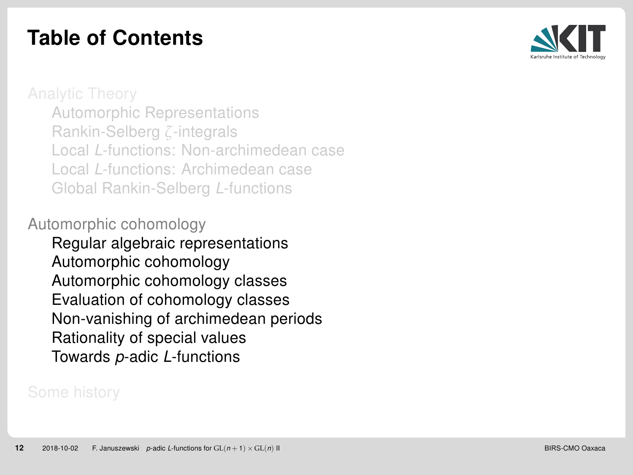## <span id="page-12-0"></span>Table of Contents



[Automorphic Representations](#page-12-0) [Rankin-Selberg](#page-21-0) *ζ*-integrals Local L[-functions: Non-archimedean case](#page-0-0) Local L[-functions: Archimedean case](#page-0-0) [Global Rankin-Selberg](#page-0-0) L-functions

[Automorphic cohomology](#page-0-0)

[Regular algebraic representations](#page-0-0) [Automorphic cohomology](#page-0-0) [Automorphic cohomology classes](#page-0-0) [Evaluation of cohomology classes](#page-0-0) [Non-vanishing of archimedean periods](#page-0-0) [Rationality of special values](#page-0-0) Towards p-adic L[-functions](#page-0-0)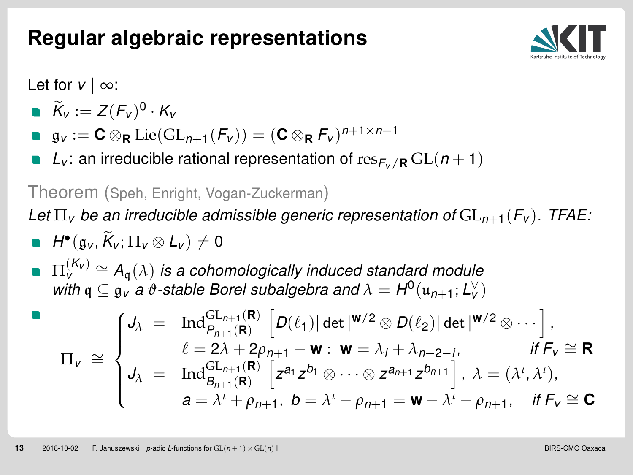## Regular algebraic representations



Let for  $v | \infty$ :

$$
\bullet\ \widetilde{K}_v:=Z(F_v)^0\cdot K_v
$$

- $\mathfrak{g}_v := \mathbf{C} \otimes_{\mathbf{R}} \mathrm{Lie}(\mathrm{GL}_{n+1}(\mathcal{F}_v)) = (\mathbf{C} \otimes_{\mathbf{R}} \mathcal{F}_v)^{n+1 \times n+1}$
- $L_v$ : an irreducible rational representation of res $F_v$ <sub>/R</sub> GL( $n+1$ )

Theorem (Speh, Enright, Vogan-Zuckerman)

Let  $\Pi_{\mathbf{v}}$  be an irreducible admissible generic representation of  $GL_{n+1}(F_{\mathbf{v}})$ . TFAE:

\n- $$
H^{\bullet}(\mathfrak{g}_V, \widetilde{K}_V; \Pi_V \otimes L_V) \neq 0
$$
\n- $\Pi_V^{(K_V)} \cong A_{\mathfrak{q}}(\lambda)$  is a cohomologically induced standard module
\n

 $u_V^v = A_q(x)$  is a conomologically induced standard module<br>with  $q \nsubseteq g_V$  a  $\vartheta$ -stable Borel subalgebra and  $\lambda = H^0(u_{n+1}; L_V^{\vee})$ 

$$
\Pi_{\mathbf{v}} \cong \begin{cases} \mathsf{J}_{\lambda} = \operatorname{Ind}_{P_{n+1}(\mathbf{R})}^{\operatorname{GL}_{n+1}(\mathbf{R})} \left[ D(\ell_1) \middle| \det \left| \mathbf{w}/2 \otimes D(\ell_2) \right| \det \left| \mathbf{w}/2 \otimes \cdots \right. \right], \\ \ell = 2\lambda + 2\rho_{n+1} - \mathbf{w} : \mathbf{w} = \lambda_i + \lambda_{n+2-i}, \qquad \text{if } F_{\mathbf{v}} \cong \mathbf{R} \\ \mathsf{J}_{\lambda} = \operatorname{Ind}_{B_{n+1}(\mathbf{R})}^{\operatorname{GL}_{n+1}(\mathbf{R})} \left[ z^{a_1} \overline{z}^{b_1} \otimes \cdots \otimes z^{a_{n+1}} \overline{z}^{b_{n+1}} \right], \ \lambda = (\lambda^t, \lambda^{\bar{t}}), \\ a = \lambda^t + \rho_{n+1}, \ b = \lambda^{\bar{t}} - \rho_{n+1} = \mathbf{w} - \lambda^t - \rho_{n+1}, \quad \text{if } F_{\mathbf{v}} \cong \mathbf{C} \end{cases}
$$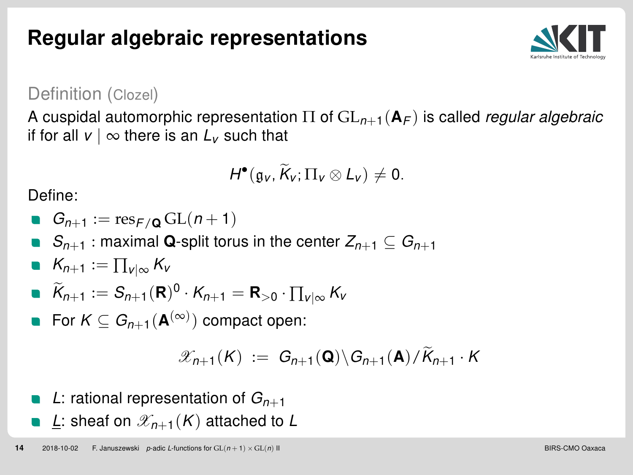Regular algebraic representations



Definition (Clozel)

A cuspidal automorphic representation  $\Pi$  of  $GL_{n+1}(\mathbf{A}_F)$  is called *regular algebraic* if for all  $v \mid \infty$  there is an  $L_v$  such that

$$
H^{\bullet}(\mathfrak{g}_{V},\widetilde{K}_{V};\Pi_{V}\otimes L_{V})\neq 0.
$$

Define:

 $G_{n+1} := \text{res}_{F/\Omega} \operatorname{GL}(n+1)$ 

■  $S_{n+1}$ : maximal Q-split torus in the center  $Z_{n+1} \subseteq G_{n+1}$ 

$$
\bullet \ \ K_{n+1} := \prod_{v \mid \infty} K_v
$$

$$
\bullet \ \widetilde{K}_{n+1} := S_{n+1}(\mathbf{R})^0 \cdot K_{n+1} = \mathbf{R}_{>0} \cdot \prod_{v \mid \infty} K_v
$$

For  $K\subseteq G_{n+1}({\bf A}^{(\infty)})$  compact open:

$$
\mathscr{X}_{n+1}(K) := G_{n+1}(\mathbf{Q}) \backslash G_{n+1}(\mathbf{A}) / \widetilde{K}_{n+1} \cdot K
$$

- L: rational representation of  $G_{n+1}$
- **L**: sheaf on  $\mathscr{X}_{n+1}(K)$  attached to L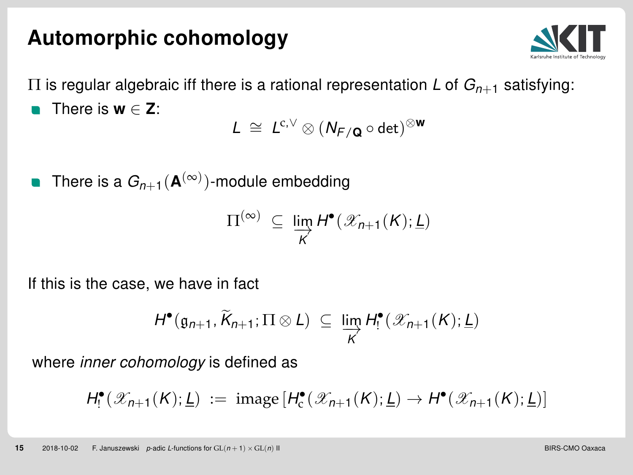#### Automorphic cohomology



 $\Pi$  is regular algebraic iff there is a rational representation L of  $G_{n+1}$  satisfying: There is  $w \in Z$ :

 $L \cong L^{c,\vee} \otimes (N_{F/{\mathbf Q}} \circ \det)^{\otimes {\mathbf W}}$ 

There is a  $G_{n+1}({\bf A}^{(\infty)})$ -module embedding

$$
\Pi^{(\infty)} \subseteq \varinjlim_{K} H^{\bullet}(\mathscr{X}_{n+1}(K); \underline{L})
$$

If this is the case, we have in fact

$$
H^{\bullet}(\mathfrak{g}_{n+1}, \widetilde{K}_{n+1}; \Pi \otimes L) \subseteq \varinjlim_{K} H^{\bullet}(\mathscr{X}_{n+1}(K); \underline{L})
$$

where *inner cohomology* is defined as

$$
H^{\bullet}_{!}(\mathscr{X}_{n+1}(K); \underline{L}) := \text{image}\left[H^{\bullet}_{c}(\mathscr{X}_{n+1}(K); \underline{L}) \to H^{\bullet}(\mathscr{X}_{n+1}(K); \underline{L})\right]
$$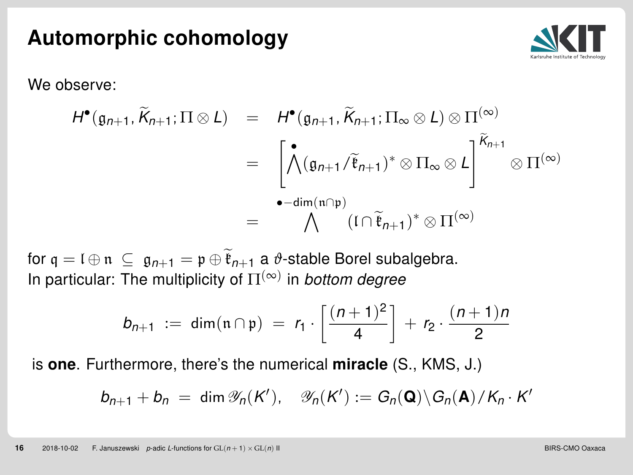#### Automorphic cohomology



We observe:

$$
H^{\bullet}(\mathfrak{g}_{n+1}, \widetilde{K}_{n+1}; \Pi \otimes L) = H^{\bullet}(\mathfrak{g}_{n+1}, \widetilde{K}_{n+1}; \Pi_{\infty} \otimes L) \otimes \Pi^{(\infty)} = \left[ \bigwedge^{\bullet} (\mathfrak{g}_{n+1} / \widetilde{\mathfrak{k}}_{n+1})^* \otimes \Pi_{\infty} \otimes L \right]^{\widetilde{K}_{n+1}} \otimes \Pi^{(\infty)} = \bigwedge^{\bullet - \dim(\mathfrak{n} \cap \mathfrak{p})} (\Gamma \cap \widetilde{\mathfrak{k}}_{n+1})^* \otimes \Pi^{(\infty)}
$$

for  $q = \mathfrak{l} \oplus \mathfrak{n} \subseteq \mathfrak{g}_{n+1} = \mathfrak{p} \oplus \widetilde{\mathfrak{k}}_{n+1}$  a  $\vartheta$ -stable Borel subalgebra. In particular: The multiplicity of  $\Pi^{(\infty)}$  in bottom degree

$$
b_{n+1} := \dim(\mathfrak{n} \cap \mathfrak{p}) = r_1 \cdot \left[ \frac{(n+1)^2}{4} \right] + r_2 \cdot \frac{(n+1)n}{2}
$$

is **one**. Furthermore, there's the numerical **miracle** (S., KMS, J.)

$$
b_{n+1} + b_n = \dim \mathscr{Y}_n(K'), \quad \mathscr{Y}_n(K') := G_n(\mathbf{Q}) \backslash G_n(\mathbf{A}) / K_n \cdot K'
$$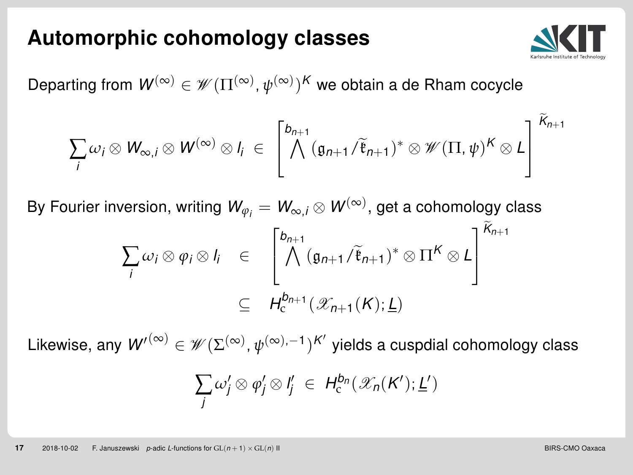#### Automorphic cohomology classes



Departing from  $\mathsf{W}^{(\infty)}\in\mathscr{W}(\Pi^{(\infty)},\psi^{(\infty)})^K$  we obtain a de Rham cocycle

$$
\sum_{i}\omega_{i}\otimes W_{\infty,i}\otimes W^{(\infty)}\otimes I_{i} \in \left[\bigwedge^{b_{n+1}}(\mathfrak{g}_{n+1}/\widetilde{\mathfrak{k}}_{n+1})^{*}\otimes\mathscr{W}(\Pi,\psi)^{K}\otimes L\right]^{K_{n+1}}
$$

By Fourier inversion, writing  $\mathsf{\mathcal{W}}_{\varphi_{i}}=\mathsf{\mathcal{W}}_{\infty,i}\otimes\mathsf{\mathcal{W}}^{(\infty)},$  get a cohomology class

$$
\sum_{i} \omega_{i} \otimes \varphi_{i} \otimes I_{i} \in \left[\bigwedge^{b_{n+1}} (\mathfrak{g}_{n+1}/\tilde{\mathfrak{k}}_{n+1})^{*} \otimes \Pi^{K} \otimes L\right]^{K_{n+1}}
$$
\n
$$
\subseteq H_{c}^{b_{n+1}}(\mathscr{X}_{n+1}(K); \underline{L})
$$

Likewise, any  $\mathcal{W}'^{(\infty)} \in \mathscr{W}(\Sigma^{(\infty)}, \psi^{(\infty), -1})^{\mathcal{K}'}$  yields a cuspdial cohomology class

$$
\sum_j \omega'_j \otimes \varphi'_j \otimes I'_j \in H_c^{b_n}(\mathscr{X}_n(K'); \underline{L}')
$$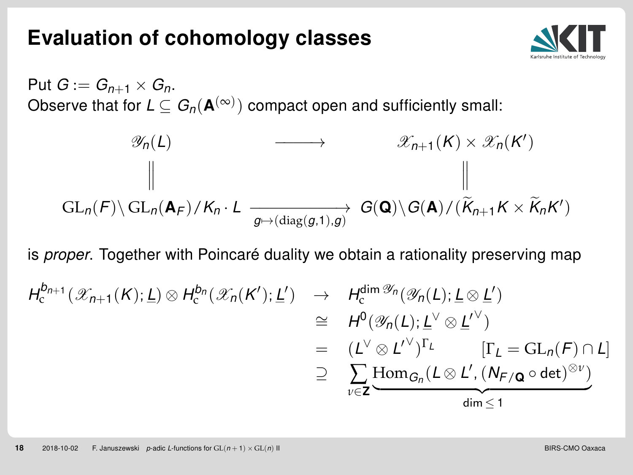#### Evaluation of cohomology classes



Put  $G := G_{n+1} \times G_n$ . Observe that for  $L\subseteq G_n(\mathbf{A}^{(\infty)})$  compact open and sufficiently small:

$$
\mathscr{X}_{n}(L) \longrightarrow \mathscr{X}_{n+1}(K) \times \mathscr{X}_{n}(K')
$$
\n
$$
\parallel \qquad \qquad \parallel
$$
\n
$$
\text{GL}_{n}(F) \setminus \text{GL}_{n}(\mathbf{A}_{F})/K_{n} \cdot L \xrightarrow[g \mapsto (\text{diag}(g,1),g)] \qquad \qquad \text{G}(\mathbf{Q}) \setminus G(\mathbf{A})/(\widetilde{K}_{n+1}K \times \widetilde{K}_{n}K')
$$

is *proper*. Together with Poincaré duality we obtain a rationality preserving map

$$
H_c^{b_{n+1}}(\mathscr{X}_{n+1}(K); \underline{L}) \otimes H_c^{b_n}(\mathscr{X}_n(K'); \underline{L'}) \rightarrow H_c^{\dim \mathscr{Y}_n}(\mathscr{Y}_n(L); \underline{L} \otimes \underline{L'})
$$
  
\n
$$
\cong H^0(\mathscr{Y}_n(L); \underline{L}^\vee \otimes \underline{L}'^\vee)
$$
  
\n
$$
= (L^\vee \otimes L^{\vee})^{\Gamma_L} \qquad [\Gamma_L = \mathrm{GL}_n(F) \cap L]
$$
  
\n
$$
\supseteq \sum_{\nu \in \mathbf{Z}} \underline{\mathrm{Hom}}_{G_n}(L \otimes L', (N_{F/\mathbf{Q}} \circ \det)^{\otimes \nu})
$$
  
\n
$$
\lim_{\dim \leq 1} \leq 1
$$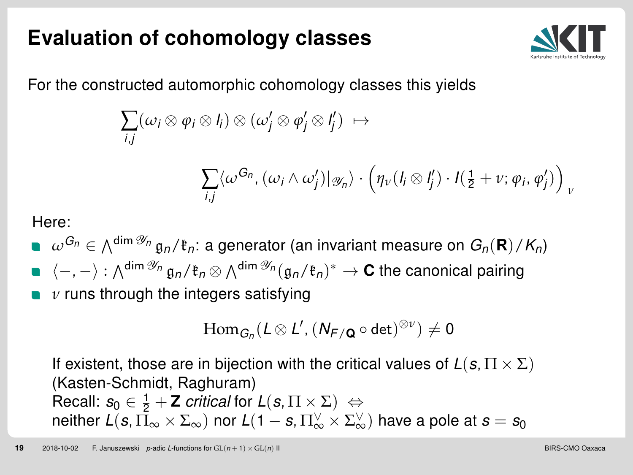## Evaluation of cohomology classes



For the constructed automorphic cohomology classes this yields

$$
\sum_{i,j} (\omega_i \otimes \varphi_i \otimes l_i) \otimes (\omega'_j \otimes \varphi'_j \otimes l'_j) \; \mapsto
$$

$$
\sum_{i,j} \langle \omega^{G_n}, (\omega_i \wedge \omega'_j) | \omega_n \rangle \cdot \left( \eta_v (I_i \otimes I'_j) \cdot I(\tfrac{1}{2} + v; \varphi_i, \varphi'_j) \right)_v
$$

Here:

 $\omega^{G_n}\in \wedge^{\dim \mathscr{Y}_n} \mathfrak{g}_n/\mathfrak{k}_n$ : a generator (an invariant measure on  $G_n(\mathbf{R})/K_n)$  $\langle -, -\rangle : \wedge^{\dim \mathscr{Y}_n} \mathfrak{g}_n/\mathfrak{k}_n \otimes \wedge^{\dim \mathscr{Y}_n} (\mathfrak{g}_n/\mathfrak{k}_n)^* \to \mathbf{C}$  the canonical pairing

*ν* runs through the integers satisfying

$$
\mathrm{Hom}_{G_n}(L\otimes L', (N_{F/\mathbf{Q}}\circ\det)^{\otimes\nu})\neq 0
$$

If existent, those are in bijection with the critical values of  $L(s, \Pi \times \Sigma)$ (Kasten-Schmidt, Raghuram) Recall:  $s_0 \in \frac{1}{2} + \mathsf{Z}$  critical for  $L(s, \Pi \times \Sigma) \Leftrightarrow$ neither  $L(s,\bar\Pi_\infty\times \Sigma_\infty)$  nor  $L(1-s,\Pi_\infty^\vee\times \Sigma_\infty^\vee)$  have a pole at  $s=s_0$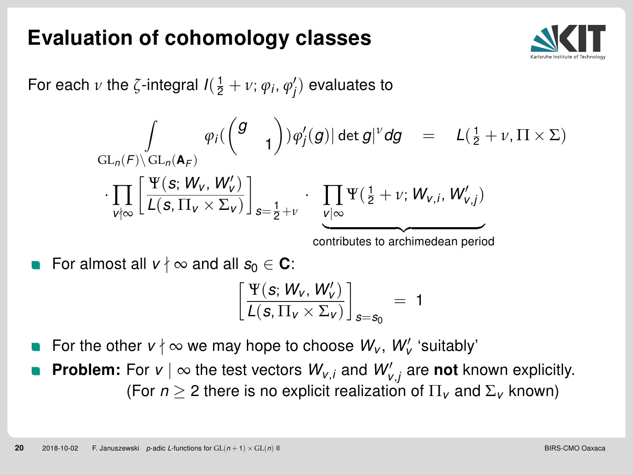#### Evaluation of cohomology classes



For each  $\nu$  the  $\zeta$ -integral  $I(\frac{1}{2}+\nu;\varphi_i,\varphi'_j)$  evaluates to

$$
\int\limits_{\mathrm{GL}_n(F)\backslash\mathrm{GL}_n(\mathbf{A}_F)}\varphi_i(\begin{pmatrix}g&\\&1\end{pmatrix})\varphi'_j(g)|\det g|^{\nu}dg\quad =\quad L(\tfrac{1}{2}+\nu,\Pi\times\Sigma)\\ \cdot\prod\limits_{\nu\nmid\infty}\left[\frac{\Psi(\mathbf{s};\mathbf{W}_\mathbf{V},\mathbf{W}'_\mathbf{V})}{L(\mathbf{s},\Pi_\mathbf{V}\times\Sigma_\mathbf{V})}\right]_{\mathbf{s}=\tfrac{1}{2}+\nu}\cdot\prod\limits_{\substack{\mathbf{V}\mid\infty\\ \text{contributes to archimedean period}}}\Psi(\tfrac{1}{2}+\nu;\mathbf{W}_{\mathbf{V},i},\mathbf{W}'_{\mathbf{V},j})
$$

For almost all  $v \nmid \infty$  and all  $s_0 \in \mathbb{C}$ :

$$
\left[\frac{\Psi(\mathbf{s};\,W_{v},\,W_{v}')}{L(\mathbf{s},\Pi_{v}\times\Sigma_{v})}\right]_{\mathbf{s}=\mathbf{s}_{0}}\,=\,1
$$

For the other  $v \nmid \infty$  we may hope to choose  $W_v$ ,  $W_v'$  'suitably'

**Problem:** For  $v \mid \infty$  the test vectors  $W_{v,i}$  and  $W_{v,j}'$  are not known explicitly. (For  $n > 2$  there is no explicit realization of  $\Pi_{\nu}$  and  $\Sigma_{\nu}$  known)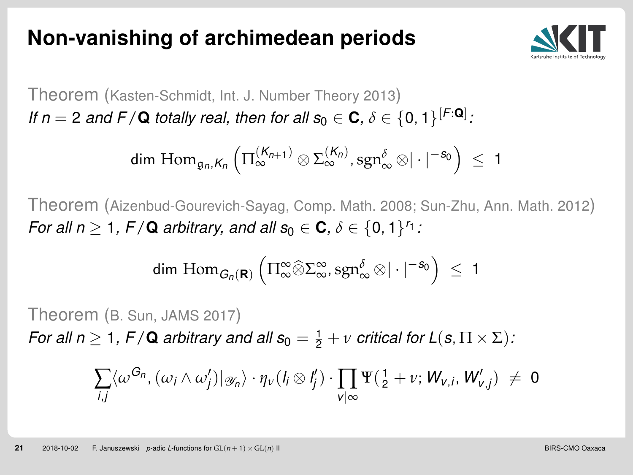#### <span id="page-21-0"></span>Non-vanishing of archimedean periods



Theorem (Kasten-Schmidt, Int. J. Number Theory 2013) If  $n = 2$  and F / **Q** totally real, then for all  $s_0 \in \mathbf{C}$ ,  $\delta \in \{0, 1\}^{[F:\mathbf{Q}]}$ .

$$
\dim\, \mathrm{Hom}_{\mathfrak{g}_n,K_n}\left(\Pi_{\infty}^{(K_{n+1})}\otimes \Sigma_{\infty}^{(K_n)},\mathrm{sgn}_{\infty}^{\delta}\otimes |\cdot|^{-s_0}\right)\ \leq\ 1
$$

Theorem (Aizenbud-Gourevich-Sayag, Comp. Math. 2008; Sun-Zhu, Ann. Math. 2012) For all  $n \geq 1$ ,  $F/\mathbf{Q}$  arbitrary, and all  $s_0 \in \mathbf{C}$ ,  $\delta \in \{0,1\}^{r_1}$ :

$$
dim\; Hom_{\textit{G}_{n}(\textbf{R})}\left(\Pi_{\infty}^{\infty}\widehat{\otimes}\Sigma_{\infty}^{\infty},sgn_{\infty}^{\delta}\otimes|\cdot|^{-s_{0}}\right)\;\leq\;1
$$

Theorem (B. Sun, JAMS 2017) For all  $n \geq 1$ ,  $F/\mathbf{Q}$  arbitrary and all  $s_0 = \frac{1}{2} + v$  critical for  $L(s, \Pi \times \Sigma)$ .

$$
\sum_{i,j} \langle \omega^{G_n}, (\omega_i \wedge \omega'_j) |_{\mathscr{Y}_n} \rangle \cdot \eta_v(l_i \otimes l'_j) \cdot \prod_{v \mid \infty} \Psi(\frac{1}{2} + v; W_{v,i}, W'_{v,j}) \neq 0
$$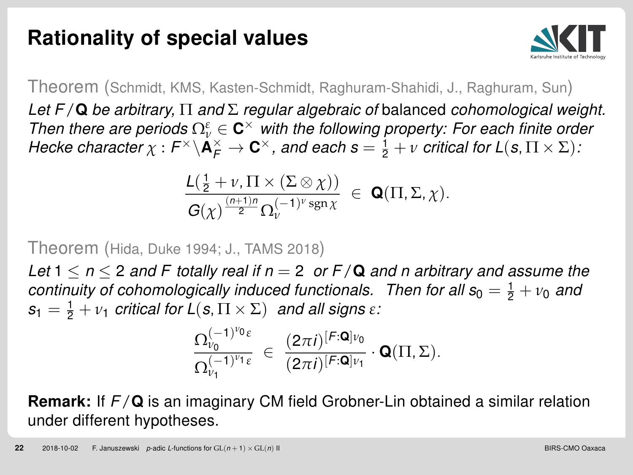## Rationality of special values



Theorem (Schmidt, KMS, Kasten-Schmidt, Raghuram-Shahidi, J., Raghuram, Sun)

Let  $F/\mathbf{Q}$  be arbitrary,  $\Pi$  and  $\Sigma$  regular algebraic of balanced cohomological weight. Then there are periods  $\Omega_{\nu}^{\varepsilon} \in \mathbf{C}^{\times}$  with the following property: For each finite order Hecke character  $\chi: F^\times \backslash {\bf A}_F^\times \to {\bf C}^\times$ , and each  $s = \frac{1}{2} + \nu$  critical for  $L(s, \Pi \times \Sigma)$ :

$$
\frac{\mathcal{L}(\frac{1}{2}+\nu,\Pi\times(\Sigma\otimes\chi))}{\mathcal{G}(\chi)^{\frac{(n+1)n}{2}}\Omega_{\nu}^{(-1)^{\nu}\operatorname{sgn}\chi}}\in\mathbf{Q}(\Pi,\Sigma,\chi).
$$

Theorem (Hida, Duke 1994; J., TAMS 2018)

Let  $1 \le n \le 2$  and F totally real if  $n = 2$  or  $F/Q$  and n arbitrary and assume the continuity of cohomologically induced functionals. Then for all  $s_0 = \frac{1}{2} + v_0$  and  $s_1 = \frac{1}{2} + v_1$  critical for  $L(s, \Pi \times \Sigma)$  and all signs  $\varepsilon$ .

$$
\frac{\Omega_{\nu_0}^{(-1)^{\nu_0}\epsilon}}{\Omega_{\nu_1}^{(-1)^{\nu_1}\epsilon}}\ \in\ \frac{(2\pi i)^{[\mathcal{F}:\pmb{\mathsf{Q}}]\nu_0}}{(2\pi i)^{[\mathcal{F}:\pmb{\mathsf{Q}}]\nu_1}}\cdot\pmb{\mathsf{Q}}(\Pi,\Sigma).
$$

**Remark:** If  $F/Q$  is an imaginary CM field Grobner-Lin obtained a similar relation under different hypotheses.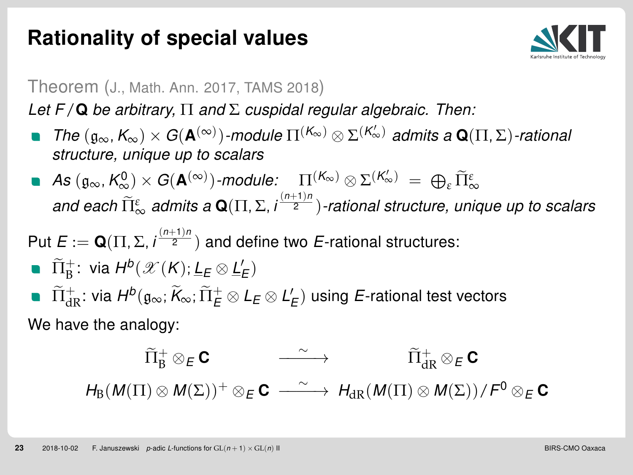## Rationality of special values



#### Theorem (J., Math. Ann. 2017, TAMS 2018)

Let  $F/Q$  be arbitrary,  $\Pi$  and  $\Sigma$  cuspidal regular algebraic. Then:

- The  $(\mathfrak{g}_{\infty}, K_{\infty}) \times G(\mathbf{A}^{(\infty)})$ -module  $\Pi^{(K_{\infty})} \otimes \Sigma^{(K'_{\infty})}$  admits a  $\mathbf{Q}(\Pi, \Sigma)$ -rational structure, unique up to scalars
- $\mathcal{A}s\left(\mathfrak{g}_{\infty},\mathcal{K}_{\infty}^{0}\right)\times\mathcal{G}(\mathbf{A}^{(\infty)})$ -module:  $\prod_{(n+1)n}^{(K_{\infty})}\otimes\Sigma^{(K_{\infty}')}\;=\;\bigoplus_{\varepsilon}\widetilde{\Pi}_{\infty}^{\varepsilon}$ and each  $\widetilde{\Pi}^{\varepsilon}_{\infty}$  admits a **Q**(Π, Σ, i $\frac{(n+1)n}{2}$ )-rational structure, unique up to scalars

Put  $E:=\mathbf{Q}(\Pi,\Sigma,i^{\frac{(n+1)n}{2}})$  and define two  $E$ -rational structures:

- $\widetilde{\Pi}_{\mathrm{B}}^{+}$ : via  $H^{b}(\mathscr{X}(K); \underline{L}_{E} \otimes \underline{L}'_{E})$
- $\tilde{\Pi}^+_{\mathrm{dR}}$ : via  $H^b(\mathfrak{g}_\infty;\widetilde{K}_\infty;\widetilde{\Pi}^+_E\otimes L_E\otimes L_E')$  using  $E$ -rational test vectors We have the analogy:

 $\widetilde{\Pi}_{\mathrm{B}}^{+}\otimes_{E}\mathbf{C}$  $\longrightarrow$  $\Pi_{\text{4D}}^+\otimes_{\text{F}} \textbf{C}$  $H_{\text{B}}(M(\Pi) \otimes M(\Sigma))^+ \otimes_E \mathbf{C} \longrightarrow H_{\text{dR}}(M(\Pi) \otimes M(\Sigma))/F^0 \otimes_E \mathbf{C}$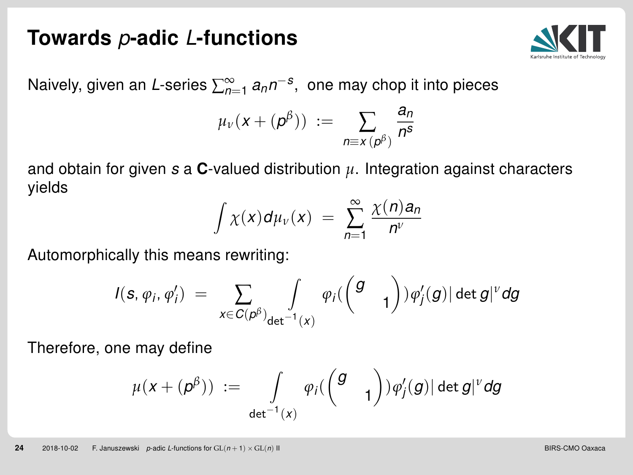#### Towards p-adic L-functions



Naively, given an *L*-series  $\sum_{n=1}^{\infty}a_{n}n^{-s}$ , one may chop it into pieces

$$
\mu_{\nu}(x+(\rho^{\beta}))\;:=\;\sum_{n\equiv x\,(\rho^{\beta})}\frac{a_n}{n^s}
$$

and obtain for given  $s$  a **C**-valued distribution  $\mu$ . Integration against characters yields

$$
\int \chi(x) d\mu_v(x) = \sum_{n=1}^{\infty} \frac{\chi(n) a_n}{n^v}
$$

Automorphically this means rewriting:

$$
I(\boldsymbol{s},\varphi_i,\varphi_i')\;=\;\sum_{x\in C(\boldsymbol{\rho}^\beta)_{\mathbf{det}^{-1}(x)}}\varphi_i(\begin{pmatrix}g&\\&1\end{pmatrix})\varphi_j'(g)|\det g|^{\nu}dg
$$

Therefore, one may define

$$
\mu(x+(\rho^\beta))\;:=\;\int\limits_{\det^{-1}(x)}\varphi_i(\begin{pmatrix}g&\\&1\end{pmatrix})\varphi'_j(g)|\det g|^{\nu}dg
$$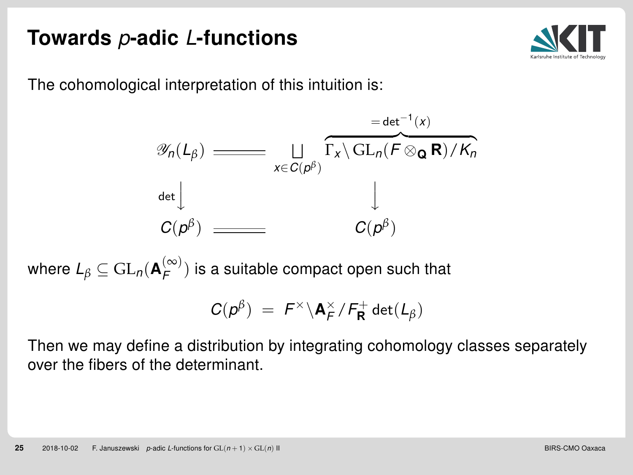## Towards p-adic L-functions



The cohomological interpretation of this intuition is:

$$
\mathscr{Y}_{n}(L_{\beta}) = \underbrace{\sqcup \qquad}_{x \in C(\rho^{\beta})} \overbrace{\Gamma_{x} \backslash \operatorname{GL}_{n}(F \otimes_{\mathbf{Q}} \mathbf{R}) / K_{n}}^{\mathbf{det}^{-1}(x)}
$$
\n
$$
\downarrow
$$
\n
$$
C(\rho^{\beta}) = C(\rho^{\beta})
$$

where  $L_{\beta}\subseteq \mathrm{GL}_{n}(\mathbf{A}_{\mathcal{F}}^{(\infty)})$  $\binom{(\infty)}{F}$  is a suitable compact open such that

$$
C(p^{\beta}) = F^{\times} \backslash {\bf A}_{F}^{\times}/F_{{\bf R}}^{+} \det(L_{\beta})
$$

Then we may define a distribution by integrating cohomology classes separately over the fibers of the determinant.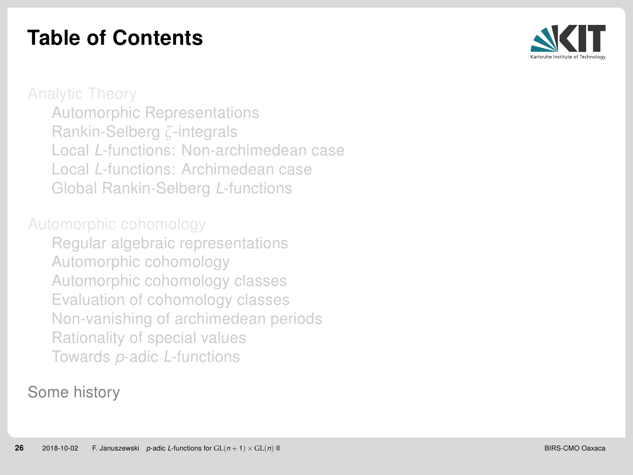## Table of Contents



[Automorphic Representations](#page-12-0) [Rankin-Selberg](#page-21-0) *ζ*-integrals Local L[-functions: Non-archimedean case](#page-0-0) Local L[-functions: Archimedean case](#page-0-0) [Global Rankin-Selberg](#page-0-0) L-functions

[Regular algebraic representations](#page-0-0) [Automorphic cohomology](#page-0-0) [Automorphic cohomology classes](#page-0-0) [Evaluation of cohomology classes](#page-0-0) [Non-vanishing of archimedean periods](#page-0-0) [Rationality of special values](#page-0-0) Towards p-adic L[-functions](#page-0-0)

#### [Some history](#page-0-0)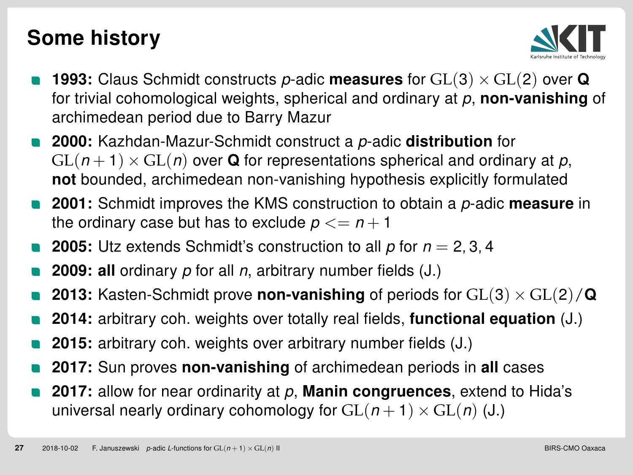## Some history



- **1993:** Claus Schmidt constructs p-adic **measures** for  $GL(3) \times GL(2)$  over Q for trivial cohomological weights, spherical and ordinary at  $p$ , non-vanishing of archimedean period due to Barry Mazur
- 2000: Kazhdan-Mazur-Schmidt construct a p-adic distribution for  $GL(n+1) \times GL(n)$  over Q for representations spherical and ordinary at p, not bounded, archimedean non-vanishing hypothesis explicitly formulated
- 2001: Schmidt improves the KMS construction to obtain a p-adic measure in the ordinary case but has to exclude  $p \leq n + 1$
- **2005:** Utz extends Schmidt's construction to all  $p$  for  $n = 2, 3, 4$
- **2009: all** ordinary  $p$  for all  $n$ , arbitrary number fields  $(J)$ .)
- 2013: Kasten-Schmidt prove non-vanishing of periods for  $GL(3) \times GL(2)/Q$
- 2014: arbitrary coh. weights over totally real fields, functional equation (J.)
- 2015: arbitrary coh. weights over arbitrary number fields (J.)
- 2017: Sun proves non-vanishing of archimedean periods in all cases
- 2017: allow for near ordinarity at  $p$ , **Manin congruences**, extend to Hida's universal nearly ordinary cohomology for  $GL(n + 1) \times GL(n)$  (J.)